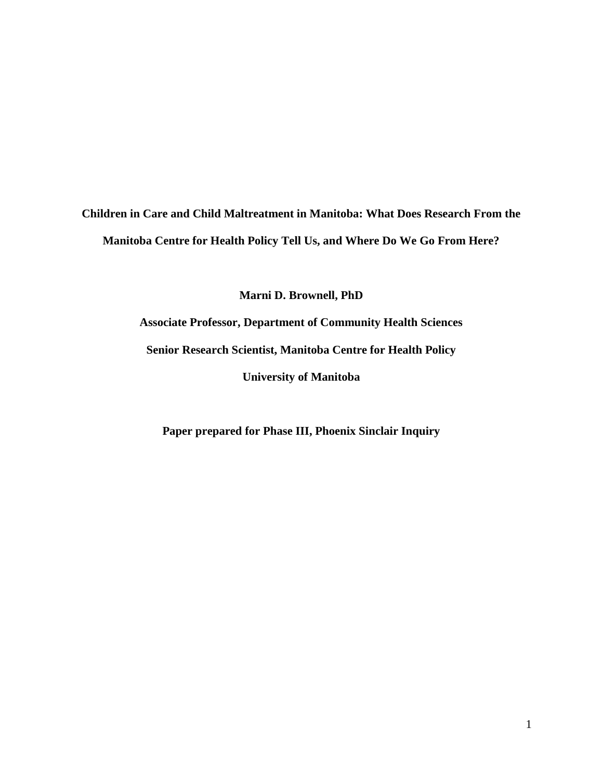# **Children in Care and Child Maltreatment in Manitoba: What Does Research From the Manitoba Centre for Health Policy Tell Us, and Where Do We Go From Here?**

**Marni D. Brownell, PhD**

**Associate Professor, Department of Community Health Sciences Senior Research Scientist, Manitoba Centre for Health Policy University of Manitoba**

**Paper prepared for Phase III, Phoenix Sinclair Inquiry**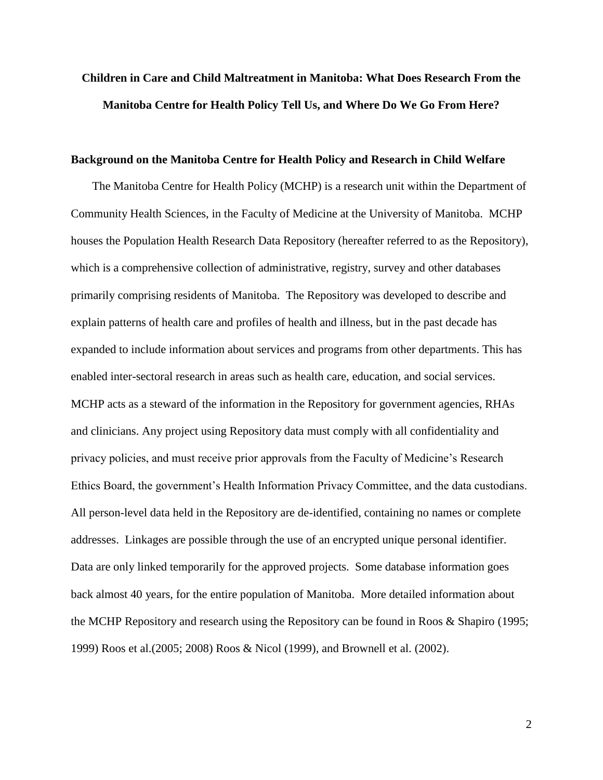# **Children in Care and Child Maltreatment in Manitoba: What Does Research From the Manitoba Centre for Health Policy Tell Us, and Where Do We Go From Here?**

#### **Background on the Manitoba Centre for Health Policy and Research in Child Welfare**

The Manitoba Centre for Health Policy (MCHP) is a research unit within the Department of Community Health Sciences, in the Faculty of Medicine at the University of Manitoba. MCHP houses the Population Health Research Data Repository (hereafter referred to as the Repository), which is a comprehensive collection of administrative, registry, survey and other databases primarily comprising residents of Manitoba. The Repository was developed to describe and explain patterns of health care and profiles of health and illness, but in the past decade has expanded to include information about services and programs from other departments. This has enabled inter-sectoral research in areas such as health care, education, and social services. MCHP acts as a steward of the information in the Repository for government agencies, RHAs and clinicians. Any project using Repository data must comply with all confidentiality and privacy policies, and must receive prior approvals from the Faculty of Medicine's Research Ethics Board, the government's Health Information Privacy Committee, and the data custodians. All person-level data held in the Repository are de-identified, containing no names or complete addresses. Linkages are possible through the use of an encrypted unique personal identifier. Data are only linked temporarily for the approved projects. Some database information goes back almost 40 years, for the entire population of Manitoba. More detailed information about the MCHP Repository and research using the Repository can be found in Roos & Shapiro (1995; 1999) Roos et al.(2005; 2008) Roos & Nicol (1999), and Brownell et al. (2002).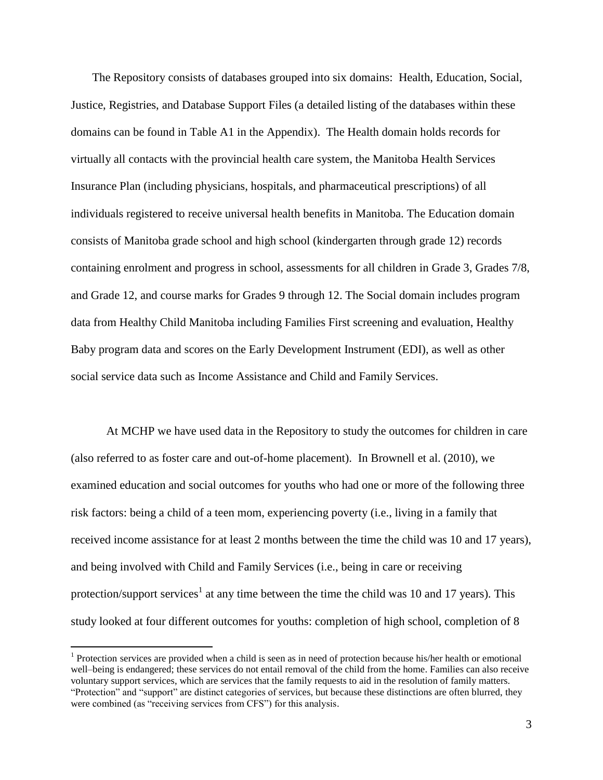The Repository consists of databases grouped into six domains: Health, Education, Social, Justice, Registries, and Database Support Files (a detailed listing of the databases within these domains can be found in Table A1 in the Appendix). The Health domain holds records for virtually all contacts with the provincial health care system, the Manitoba Health Services Insurance Plan (including physicians, hospitals, and pharmaceutical prescriptions) of all individuals registered to receive universal health benefits in Manitoba. The Education domain consists of Manitoba grade school and high school (kindergarten through grade 12) records containing enrolment and progress in school, assessments for all children in Grade 3, Grades 7/8, and Grade 12, and course marks for Grades 9 through 12. The Social domain includes program data from Healthy Child Manitoba including Families First screening and evaluation, Healthy Baby program data and scores on the Early Development Instrument (EDI), as well as other social service data such as Income Assistance and Child and Family Services.

At MCHP we have used data in the Repository to study the outcomes for children in care (also referred to as foster care and out-of-home placement). In Brownell et al. (2010), we examined education and social outcomes for youths who had one or more of the following three risk factors: being a child of a teen mom, experiencing poverty (i.e., living in a family that received income assistance for at least 2 months between the time the child was 10 and 17 years), and being involved with Child and Family Services (i.e., being in care or receiving protection/support services<sup>1</sup> at any time between the time the child was 10 and 17 years). This study looked at four different outcomes for youths: completion of high school, completion of 8

 $\overline{a}$ 

<sup>&</sup>lt;sup>1</sup> Protection services are provided when a child is seen as in need of protection because his/her health or emotional well–being is endangered; these services do not entail removal of the child from the home. Families can also receive voluntary support services, which are services that the family requests to aid in the resolution of family matters. "Protection" and "support" are distinct categories of services, but because these distinctions are often blurred, they were combined (as "receiving services from CFS") for this analysis.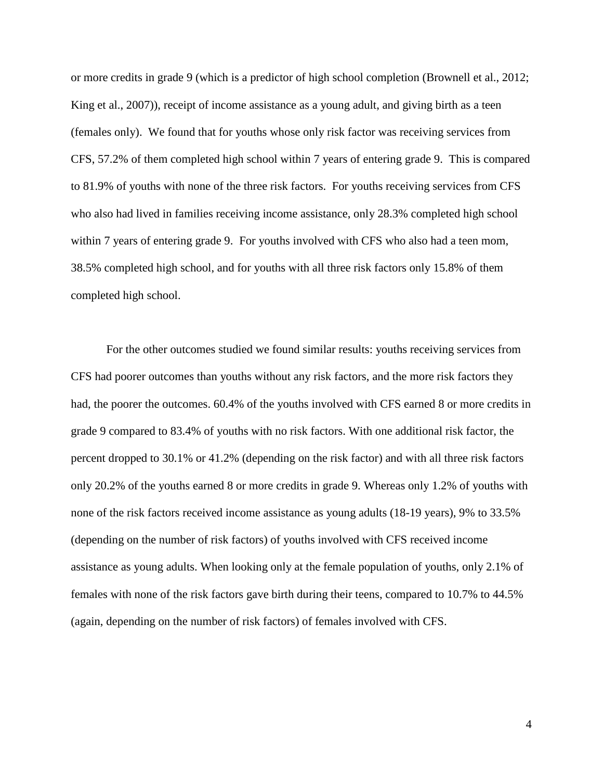or more credits in grade 9 (which is a predictor of high school completion (Brownell et al., 2012; King et al., 2007)), receipt of income assistance as a young adult, and giving birth as a teen (females only). We found that for youths whose only risk factor was receiving services from CFS, 57.2% of them completed high school within 7 years of entering grade 9. This is compared to 81.9% of youths with none of the three risk factors. For youths receiving services from CFS who also had lived in families receiving income assistance, only 28.3% completed high school within 7 years of entering grade 9. For youths involved with CFS who also had a teen mom, 38.5% completed high school, and for youths with all three risk factors only 15.8% of them completed high school.

For the other outcomes studied we found similar results: youths receiving services from CFS had poorer outcomes than youths without any risk factors, and the more risk factors they had, the poorer the outcomes. 60.4% of the youths involved with CFS earned 8 or more credits in grade 9 compared to 83.4% of youths with no risk factors. With one additional risk factor, the percent dropped to 30.1% or 41.2% (depending on the risk factor) and with all three risk factors only 20.2% of the youths earned 8 or more credits in grade 9. Whereas only 1.2% of youths with none of the risk factors received income assistance as young adults (18-19 years), 9% to 33.5% (depending on the number of risk factors) of youths involved with CFS received income assistance as young adults. When looking only at the female population of youths, only 2.1% of females with none of the risk factors gave birth during their teens, compared to 10.7% to 44.5% (again, depending on the number of risk factors) of females involved with CFS.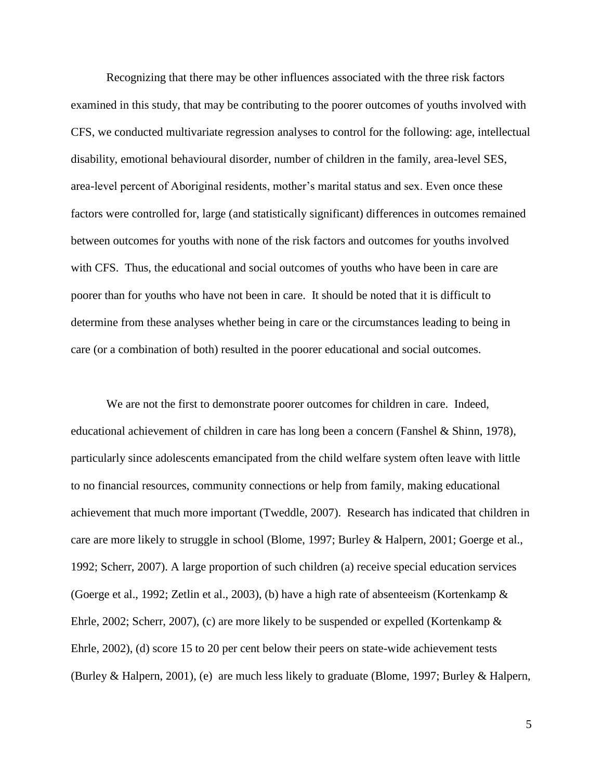Recognizing that there may be other influences associated with the three risk factors examined in this study, that may be contributing to the poorer outcomes of youths involved with CFS, we conducted multivariate regression analyses to control for the following: age, intellectual disability, emotional behavioural disorder, number of children in the family, area-level SES, area-level percent of Aboriginal residents, mother's marital status and sex. Even once these factors were controlled for, large (and statistically significant) differences in outcomes remained between outcomes for youths with none of the risk factors and outcomes for youths involved with CFS. Thus, the educational and social outcomes of youths who have been in care are poorer than for youths who have not been in care. It should be noted that it is difficult to determine from these analyses whether being in care or the circumstances leading to being in care (or a combination of both) resulted in the poorer educational and social outcomes.

We are not the first to demonstrate poorer outcomes for children in care. Indeed, educational achievement of children in care has long been a concern (Fanshel & Shinn, 1978), particularly since adolescents emancipated from the child welfare system often leave with little to no financial resources, community connections or help from family, making educational achievement that much more important (Tweddle, 2007). Research has indicated that children in care are more likely to struggle in school (Blome, 1997; Burley & Halpern, 2001; Goerge et al., 1992; Scherr, 2007). A large proportion of such children (a) receive special education services (Goerge et al., 1992; Zetlin et al., 2003), (b) have a high rate of absenteeism (Kortenkamp & Ehrle, 2002; Scherr, 2007), (c) are more likely to be suspended or expelled (Kortenkamp  $\&$ Ehrle, 2002), (d) score 15 to 20 per cent below their peers on state-wide achievement tests (Burley & Halpern, 2001), (e) are much less likely to graduate (Blome, 1997; Burley & Halpern,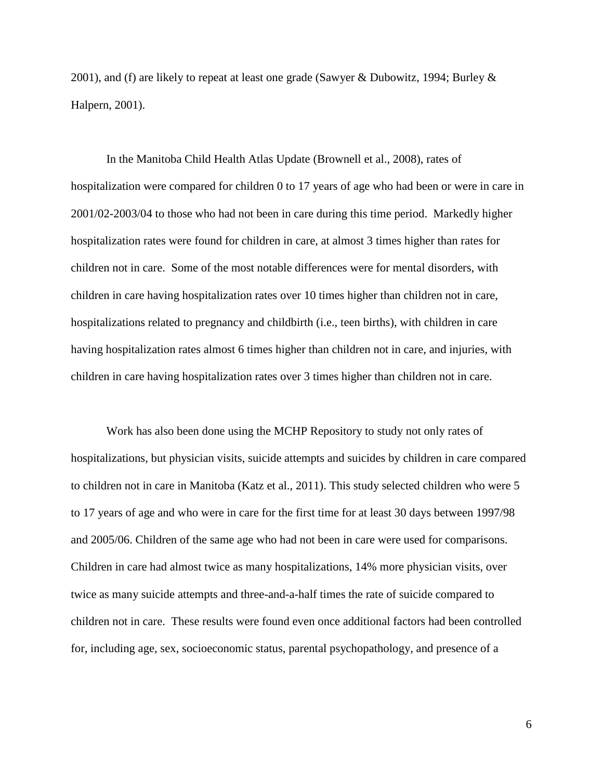2001), and (f) are likely to repeat at least one grade (Sawyer & Dubowitz, 1994; Burley  $\&$ Halpern, 2001).

In the Manitoba Child Health Atlas Update (Brownell et al., 2008), rates of hospitalization were compared for children 0 to 17 years of age who had been or were in care in 2001/02-2003/04 to those who had not been in care during this time period. Markedly higher hospitalization rates were found for children in care, at almost 3 times higher than rates for children not in care. Some of the most notable differences were for mental disorders, with children in care having hospitalization rates over 10 times higher than children not in care, hospitalizations related to pregnancy and childbirth (i.e., teen births), with children in care having hospitalization rates almost 6 times higher than children not in care, and injuries, with children in care having hospitalization rates over 3 times higher than children not in care.

Work has also been done using the MCHP Repository to study not only rates of hospitalizations, but physician visits, suicide attempts and suicides by children in care compared to children not in care in Manitoba (Katz et al., 2011). This study selected children who were 5 to 17 years of age and who were in care for the first time for at least 30 days between 1997/98 and 2005/06. Children of the same age who had not been in care were used for comparisons. Children in care had almost twice as many hospitalizations, 14% more physician visits, over twice as many suicide attempts and three-and-a-half times the rate of suicide compared to children not in care. These results were found even once additional factors had been controlled for, including age, sex, socioeconomic status, parental psychopathology, and presence of a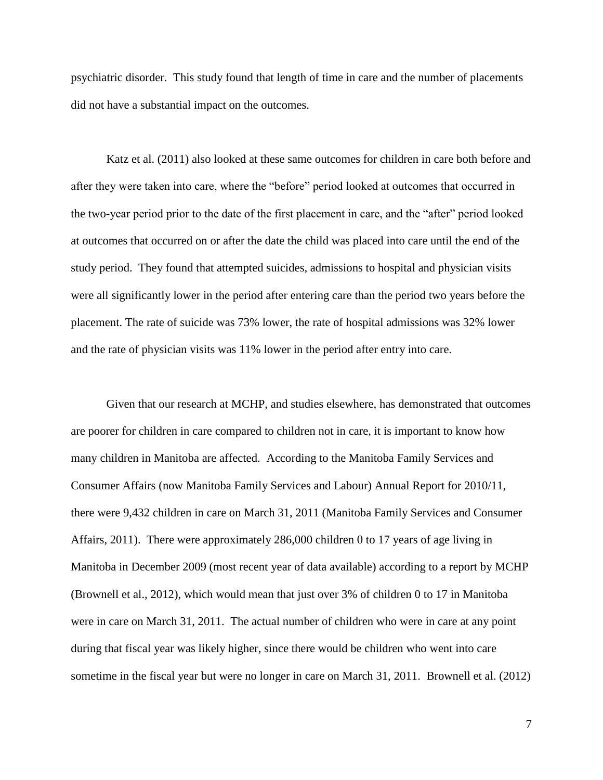psychiatric disorder. This study found that length of time in care and the number of placements did not have a substantial impact on the outcomes.

Katz et al. (2011) also looked at these same outcomes for children in care both before and after they were taken into care, where the "before" period looked at outcomes that occurred in the two-year period prior to the date of the first placement in care, and the "after" period looked at outcomes that occurred on or after the date the child was placed into care until the end of the study period. They found that attempted suicides, admissions to hospital and physician visits were all significantly lower in the period after entering care than the period two years before the placement. The rate of suicide was 73% lower, the rate of hospital admissions was 32% lower and the rate of physician visits was 11% lower in the period after entry into care.

Given that our research at MCHP, and studies elsewhere, has demonstrated that outcomes are poorer for children in care compared to children not in care, it is important to know how many children in Manitoba are affected. According to the Manitoba Family Services and Consumer Affairs (now Manitoba Family Services and Labour) Annual Report for 2010/11, there were 9,432 children in care on March 31, 2011 (Manitoba Family Services and Consumer Affairs, 2011). There were approximately 286,000 children 0 to 17 years of age living in Manitoba in December 2009 (most recent year of data available) according to a report by MCHP (Brownell et al., 2012), which would mean that just over 3% of children 0 to 17 in Manitoba were in care on March 31, 2011. The actual number of children who were in care at any point during that fiscal year was likely higher, since there would be children who went into care sometime in the fiscal year but were no longer in care on March 31, 2011. Brownell et al. (2012)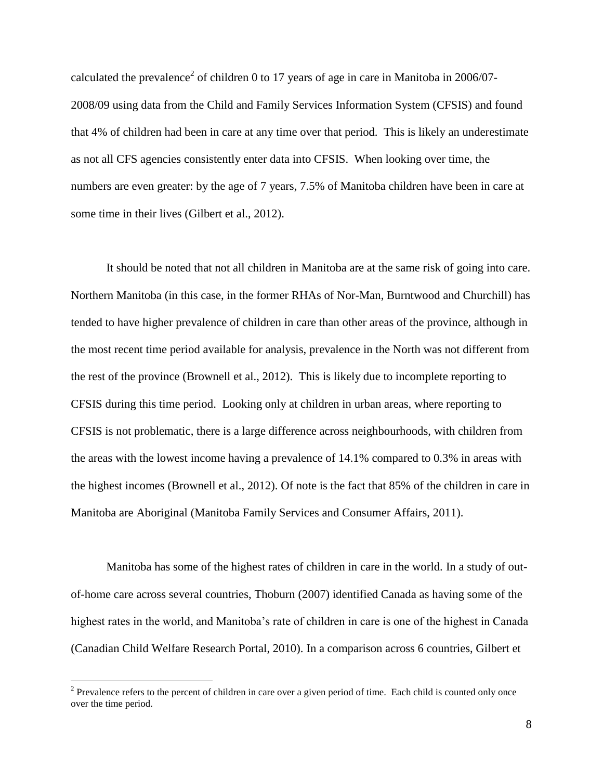calculated the prevalence<sup>2</sup> of children 0 to 17 years of age in care in Manitoba in 2006/07-2008/09 using data from the Child and Family Services Information System (CFSIS) and found that 4% of children had been in care at any time over that period. This is likely an underestimate as not all CFS agencies consistently enter data into CFSIS. When looking over time, the numbers are even greater: by the age of 7 years, 7.5% of Manitoba children have been in care at some time in their lives (Gilbert et al., 2012).

It should be noted that not all children in Manitoba are at the same risk of going into care. Northern Manitoba (in this case, in the former RHAs of Nor-Man, Burntwood and Churchill) has tended to have higher prevalence of children in care than other areas of the province, although in the most recent time period available for analysis, prevalence in the North was not different from the rest of the province (Brownell et al., 2012). This is likely due to incomplete reporting to CFSIS during this time period. Looking only at children in urban areas, where reporting to CFSIS is not problematic, there is a large difference across neighbourhoods, with children from the areas with the lowest income having a prevalence of 14.1% compared to 0.3% in areas with the highest incomes (Brownell et al., 2012). Of note is the fact that 85% of the children in care in Manitoba are Aboriginal (Manitoba Family Services and Consumer Affairs, 2011).

Manitoba has some of the highest rates of children in care in the world. In a study of outof-home care across several countries, Thoburn (2007) identified Canada as having some of the highest rates in the world, and Manitoba's rate of children in care is one of the highest in Canada (Canadian Child Welfare Research Portal, 2010). In a comparison across 6 countries, Gilbert et

 $\overline{a}$ 

 $2^2$  Prevalence refers to the percent of children in care over a given period of time. Each child is counted only once over the time period.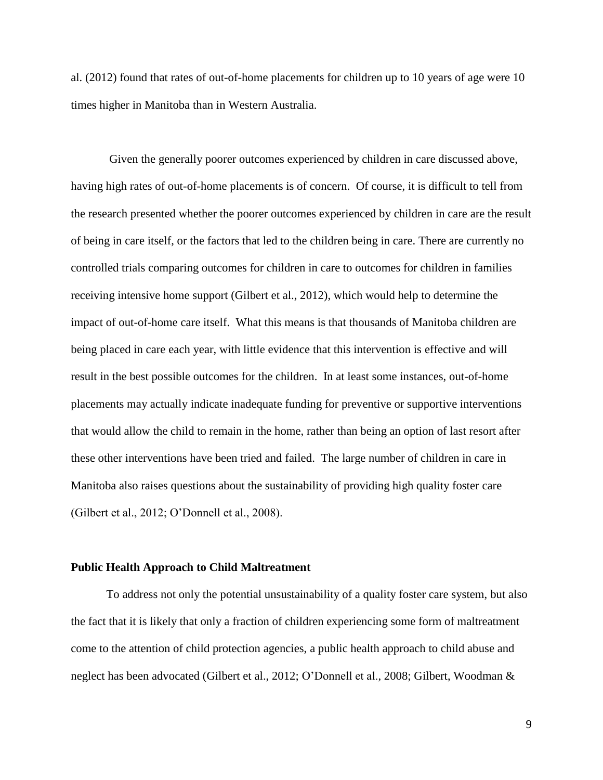al. (2012) found that rates of out-of-home placements for children up to 10 years of age were 10 times higher in Manitoba than in Western Australia.

Given the generally poorer outcomes experienced by children in care discussed above, having high rates of out-of-home placements is of concern. Of course, it is difficult to tell from the research presented whether the poorer outcomes experienced by children in care are the result of being in care itself, or the factors that led to the children being in care. There are currently no controlled trials comparing outcomes for children in care to outcomes for children in families receiving intensive home support (Gilbert et al., 2012), which would help to determine the impact of out-of-home care itself. What this means is that thousands of Manitoba children are being placed in care each year, with little evidence that this intervention is effective and will result in the best possible outcomes for the children. In at least some instances, out-of-home placements may actually indicate inadequate funding for preventive or supportive interventions that would allow the child to remain in the home, rather than being an option of last resort after these other interventions have been tried and failed. The large number of children in care in Manitoba also raises questions about the sustainability of providing high quality foster care (Gilbert et al., 2012; O'Donnell et al., 2008).

#### **Public Health Approach to Child Maltreatment**

To address not only the potential unsustainability of a quality foster care system, but also the fact that it is likely that only a fraction of children experiencing some form of maltreatment come to the attention of child protection agencies, a public health approach to child abuse and neglect has been advocated (Gilbert et al., 2012; O'Donnell et al., 2008; Gilbert, Woodman &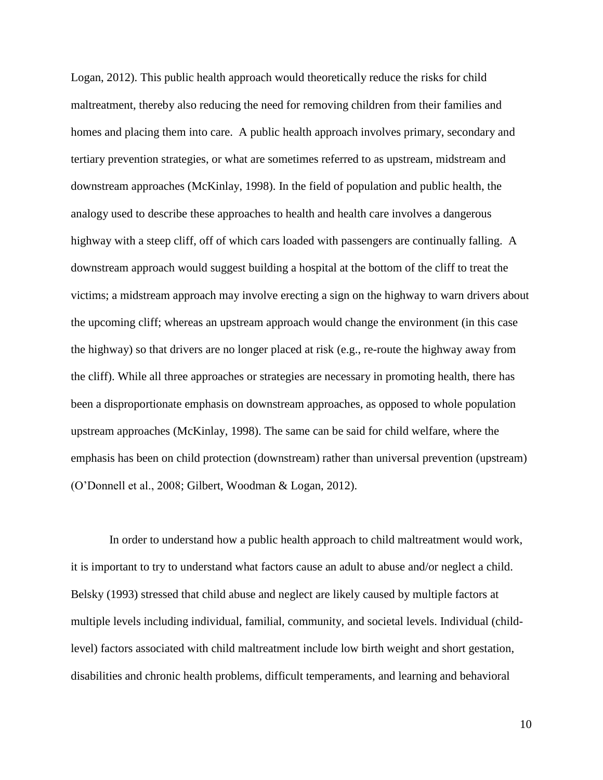Logan, 2012). This public health approach would theoretically reduce the risks for child maltreatment, thereby also reducing the need for removing children from their families and homes and placing them into care. A public health approach involves primary, secondary and tertiary prevention strategies, or what are sometimes referred to as upstream, midstream and downstream approaches (McKinlay, 1998). In the field of population and public health, the analogy used to describe these approaches to health and health care involves a dangerous highway with a steep cliff, off of which cars loaded with passengers are continually falling. A downstream approach would suggest building a hospital at the bottom of the cliff to treat the victims; a midstream approach may involve erecting a sign on the highway to warn drivers about the upcoming cliff; whereas an upstream approach would change the environment (in this case the highway) so that drivers are no longer placed at risk (e.g., re-route the highway away from the cliff). While all three approaches or strategies are necessary in promoting health, there has been a disproportionate emphasis on downstream approaches, as opposed to whole population upstream approaches (McKinlay, 1998). The same can be said for child welfare, where the emphasis has been on child protection (downstream) rather than universal prevention (upstream) (O'Donnell et al., 2008; Gilbert, Woodman & Logan, 2012).

In order to understand how a public health approach to child maltreatment would work, it is important to try to understand what factors cause an adult to abuse and/or neglect a child. Belsky (1993) stressed that child abuse and neglect are likely caused by multiple factors at multiple levels including individual, familial, community, and societal levels. Individual (childlevel) factors associated with child maltreatment include low birth weight and short gestation, disabilities and chronic health problems, difficult temperaments, and learning and behavioral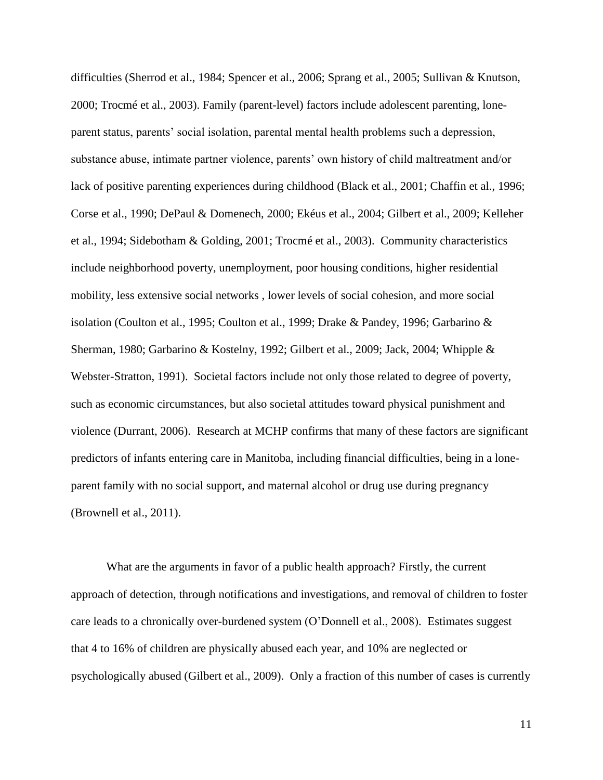difficulties (Sherrod et al., 1984; Spencer et al., 2006; Sprang et al., 2005; Sullivan & Knutson, 2000; Trocmé et al., 2003). Family (parent-level) factors include adolescent parenting, loneparent status, parents' social isolation, parental mental health problems such a depression, substance abuse, intimate partner violence, parents' own history of child maltreatment and/or lack of positive parenting experiences during childhood (Black et al., 2001; Chaffin et al., 1996; Corse et al., 1990; DePaul & Domenech, 2000; Ekéus et al., 2004; Gilbert et al., 2009; Kelleher et al., 1994; Sidebotham & Golding, 2001; Trocmé et al., 2003). Community characteristics include neighborhood poverty, unemployment, poor housing conditions, higher residential mobility, less extensive social networks , lower levels of social cohesion, and more social isolation (Coulton et al., 1995; Coulton et al., 1999; Drake & Pandey, 1996; Garbarino & Sherman, 1980; Garbarino & Kostelny, 1992; Gilbert et al., 2009; Jack, 2004; Whipple & Webster-Stratton, 1991). Societal factors include not only those related to degree of poverty, such as economic circumstances, but also societal attitudes toward physical punishment and violence (Durrant, 2006). Research at MCHP confirms that many of these factors are significant predictors of infants entering care in Manitoba, including financial difficulties, being in a loneparent family with no social support, and maternal alcohol or drug use during pregnancy (Brownell et al., 2011).

What are the arguments in favor of a public health approach? Firstly, the current approach of detection, through notifications and investigations, and removal of children to foster care leads to a chronically over-burdened system (O'Donnell et al., 2008). Estimates suggest that 4 to 16% of children are physically abused each year, and 10% are neglected or psychologically abused (Gilbert et al., 2009). Only a fraction of this number of cases is currently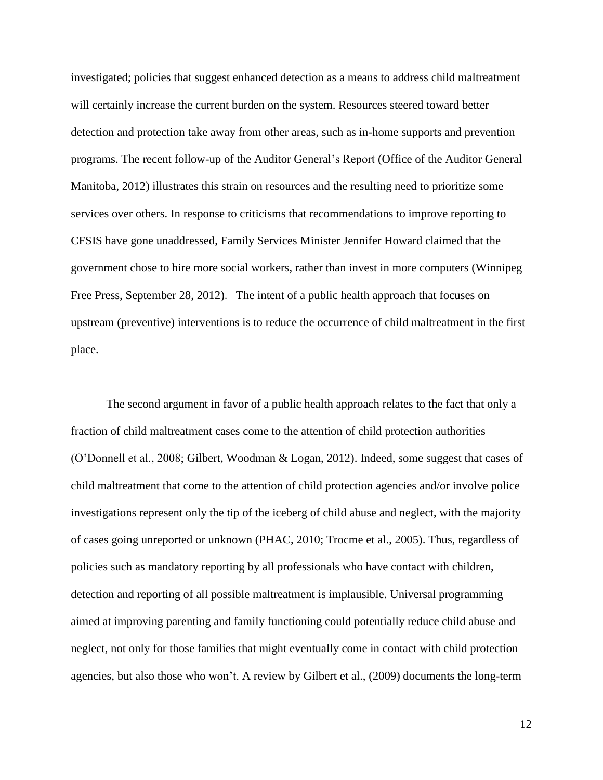investigated; policies that suggest enhanced detection as a means to address child maltreatment will certainly increase the current burden on the system. Resources steered toward better detection and protection take away from other areas, such as in-home supports and prevention programs. The recent follow-up of the Auditor General's Report (Office of the Auditor General Manitoba, 2012) illustrates this strain on resources and the resulting need to prioritize some services over others. In response to criticisms that recommendations to improve reporting to CFSIS have gone unaddressed, Family Services Minister Jennifer Howard claimed that the government chose to hire more social workers, rather than invest in more computers (Winnipeg Free Press, September 28, 2012). The intent of a public health approach that focuses on upstream (preventive) interventions is to reduce the occurrence of child maltreatment in the first place.

The second argument in favor of a public health approach relates to the fact that only a fraction of child maltreatment cases come to the attention of child protection authorities (O'Donnell et al., 2008; Gilbert, Woodman & Logan, 2012). Indeed, some suggest that cases of child maltreatment that come to the attention of child protection agencies and/or involve police investigations represent only the tip of the iceberg of child abuse and neglect, with the majority of cases going unreported or unknown (PHAC, 2010; Trocme et al., 2005). Thus, regardless of policies such as mandatory reporting by all professionals who have contact with children, detection and reporting of all possible maltreatment is implausible. Universal programming aimed at improving parenting and family functioning could potentially reduce child abuse and neglect, not only for those families that might eventually come in contact with child protection agencies, but also those who won't. A review by Gilbert et al., (2009) documents the long-term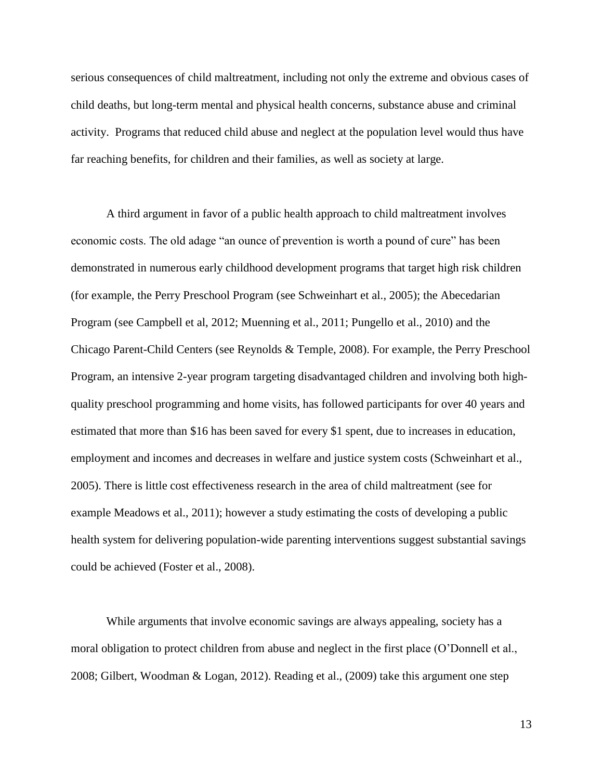serious consequences of child maltreatment, including not only the extreme and obvious cases of child deaths, but long-term mental and physical health concerns, substance abuse and criminal activity. Programs that reduced child abuse and neglect at the population level would thus have far reaching benefits, for children and their families, as well as society at large.

A third argument in favor of a public health approach to child maltreatment involves economic costs. The old adage "an ounce of prevention is worth a pound of cure" has been demonstrated in numerous early childhood development programs that target high risk children (for example, the Perry Preschool Program (see Schweinhart et al., 2005); the Abecedarian Program (see Campbell et al, 2012; Muenning et al., 2011; Pungello et al., 2010) and the Chicago Parent-Child Centers (see Reynolds & Temple, 2008). For example, the Perry Preschool Program, an intensive 2-year program targeting disadvantaged children and involving both highquality preschool programming and home visits, has followed participants for over 40 years and estimated that more than \$16 has been saved for every \$1 spent, due to increases in education, employment and incomes and decreases in welfare and justice system costs (Schweinhart et al., 2005). There is little cost effectiveness research in the area of child maltreatment (see for example Meadows et al., 2011); however a study estimating the costs of developing a public health system for delivering population-wide parenting interventions suggest substantial savings could be achieved (Foster et al., 2008).

While arguments that involve economic savings are always appealing, society has a moral obligation to protect children from abuse and neglect in the first place (O'Donnell et al., 2008; Gilbert, Woodman & Logan, 2012). Reading et al., (2009) take this argument one step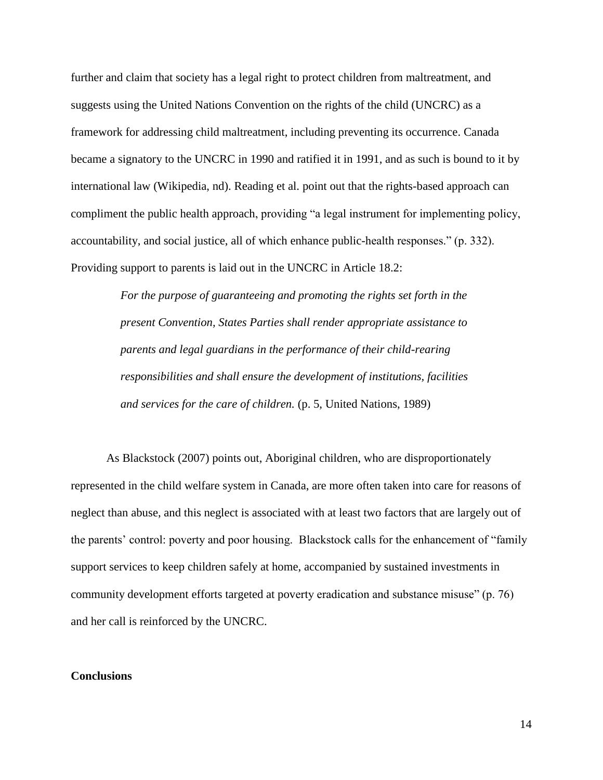further and claim that society has a legal right to protect children from maltreatment, and suggests using the United Nations Convention on the rights of the child (UNCRC) as a framework for addressing child maltreatment, including preventing its occurrence. Canada became a signatory to the UNCRC in 1990 and ratified it in 1991, and as such is bound to it by international law (Wikipedia, nd). Reading et al. point out that the rights-based approach can compliment the public health approach, providing "a legal instrument for implementing policy, accountability, and social justice, all of which enhance public-health responses." (p. 332). Providing support to parents is laid out in the UNCRC in Article 18.2:

> *For the purpose of guaranteeing and promoting the rights set forth in the present Convention, States Parties shall render appropriate assistance to parents and legal guardians in the performance of their child-rearing responsibilities and shall ensure the development of institutions, facilities and services for the care of children.* (p. 5, United Nations, 1989)

As Blackstock (2007) points out, Aboriginal children, who are disproportionately represented in the child welfare system in Canada, are more often taken into care for reasons of neglect than abuse, and this neglect is associated with at least two factors that are largely out of the parents' control: poverty and poor housing. Blackstock calls for the enhancement of "family support services to keep children safely at home, accompanied by sustained investments in community development efforts targeted at poverty eradication and substance misuse" (p. 76) and her call is reinforced by the UNCRC.

### **Conclusions**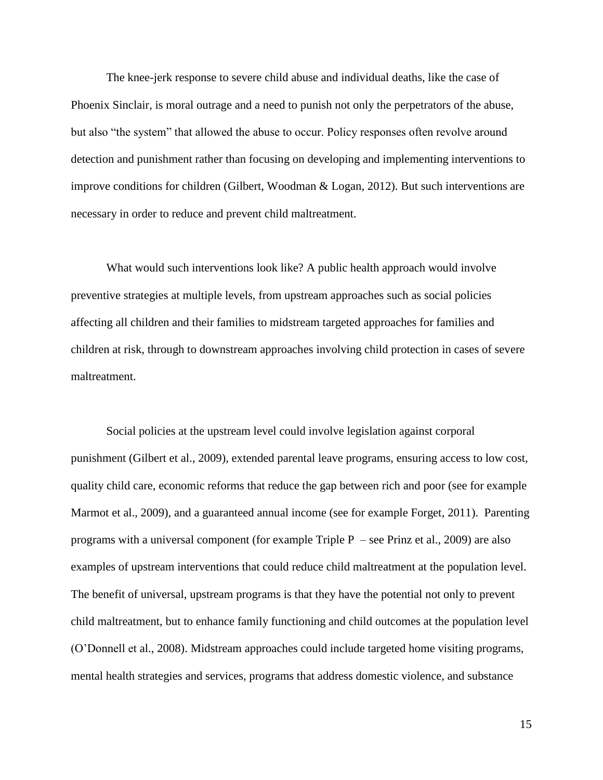The knee-jerk response to severe child abuse and individual deaths, like the case of Phoenix Sinclair, is moral outrage and a need to punish not only the perpetrators of the abuse, but also "the system" that allowed the abuse to occur. Policy responses often revolve around detection and punishment rather than focusing on developing and implementing interventions to improve conditions for children (Gilbert, Woodman & Logan, 2012). But such interventions are necessary in order to reduce and prevent child maltreatment.

What would such interventions look like? A public health approach would involve preventive strategies at multiple levels, from upstream approaches such as social policies affecting all children and their families to midstream targeted approaches for families and children at risk, through to downstream approaches involving child protection in cases of severe maltreatment.

Social policies at the upstream level could involve legislation against corporal punishment (Gilbert et al., 2009), extended parental leave programs, ensuring access to low cost, quality child care, economic reforms that reduce the gap between rich and poor (see for example Marmot et al., 2009), and a guaranteed annual income (see for example Forget, 2011). Parenting programs with a universal component (for example Triple  $P$  – see Prinz et al., 2009) are also examples of upstream interventions that could reduce child maltreatment at the population level. The benefit of universal, upstream programs is that they have the potential not only to prevent child maltreatment, but to enhance family functioning and child outcomes at the population level (O'Donnell et al., 2008). Midstream approaches could include targeted home visiting programs, mental health strategies and services, programs that address domestic violence, and substance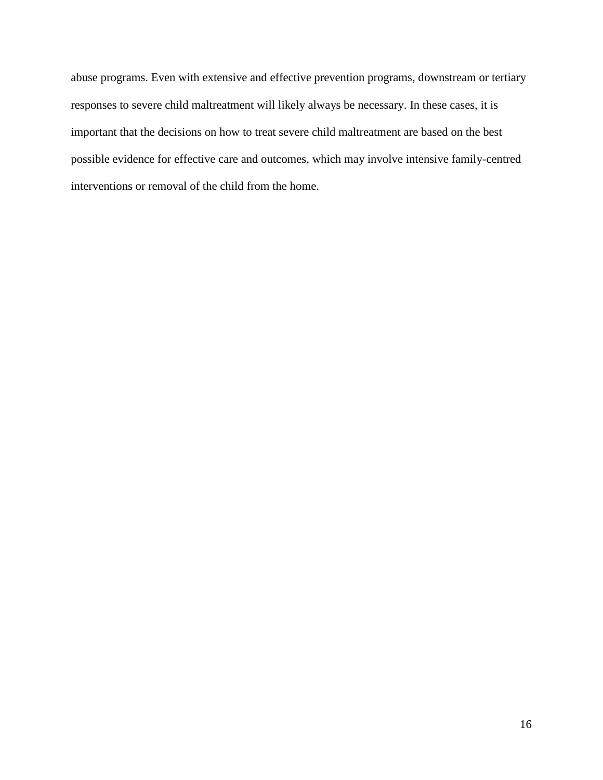abuse programs. Even with extensive and effective prevention programs, downstream or tertiary responses to severe child maltreatment will likely always be necessary. In these cases, it is important that the decisions on how to treat severe child maltreatment are based on the best possible evidence for effective care and outcomes, which may involve intensive family-centred interventions or removal of the child from the home.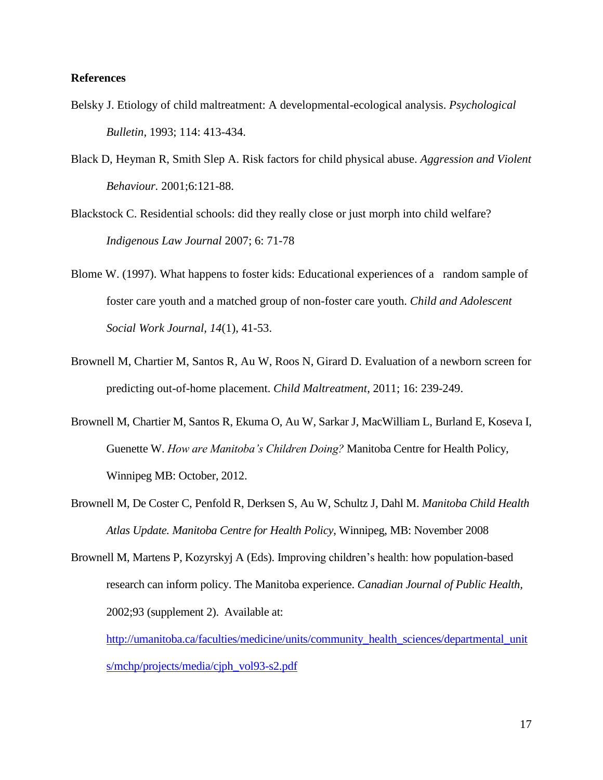### **References**

- Belsky J. Etiology of child maltreatment: A developmental-ecological analysis. *Psychological Bulletin*, 1993; 114: 413-434.
- Black D, Heyman R, Smith Slep A. Risk factors for child physical abuse. *Aggression and Violent Behaviour.* 2001;6:121-88.
- Blackstock C. Residential schools: did they really close or just morph into child welfare? *Indigenous Law Journal* 2007; 6: 71-78
- Blome W. (1997). What happens to foster kids: Educational experiences of a random sample of foster care youth and a matched group of non-foster care youth. *Child and Adolescent Social Work Journal, 14*(1), 41-53.
- Brownell M, Chartier M, Santos R, Au W, Roos N, Girard D. Evaluation of a newborn screen for predicting out-of-home placement. *Child Maltreatment*, 2011; 16: 239-249.
- Brownell M, Chartier M, Santos R, Ekuma O, Au W, Sarkar J, MacWilliam L, Burland E, Koseva I, Guenette W. *How are Manitoba's Children Doing?* Manitoba Centre for Health Policy, Winnipeg MB: October, 2012.
- Brownell M, De Coster C, Penfold R, Derksen S, Au W, Schultz J, Dahl M. *Manitoba Child Health Atlas Update. Manitoba Centre for Health Policy*, Winnipeg, MB: November 2008
- Brownell M, Martens P, Kozyrskyj A (Eds). Improving children's health: how population-based research can inform policy. The Manitoba experience. *Canadian Journal of Public Health,* 2002;93 (supplement 2). Available at:

[http://umanitoba.ca/faculties/medicine/units/community\\_health\\_sciences/departmental\\_unit](http://umanitoba.ca/faculties/medicine/units/community_health_sciences/departmental_units/mchp/projects/media/cjph_vol93-s2.pdf) [s/mchp/projects/media/cjph\\_vol93-s2.pdf](http://umanitoba.ca/faculties/medicine/units/community_health_sciences/departmental_units/mchp/projects/media/cjph_vol93-s2.pdf)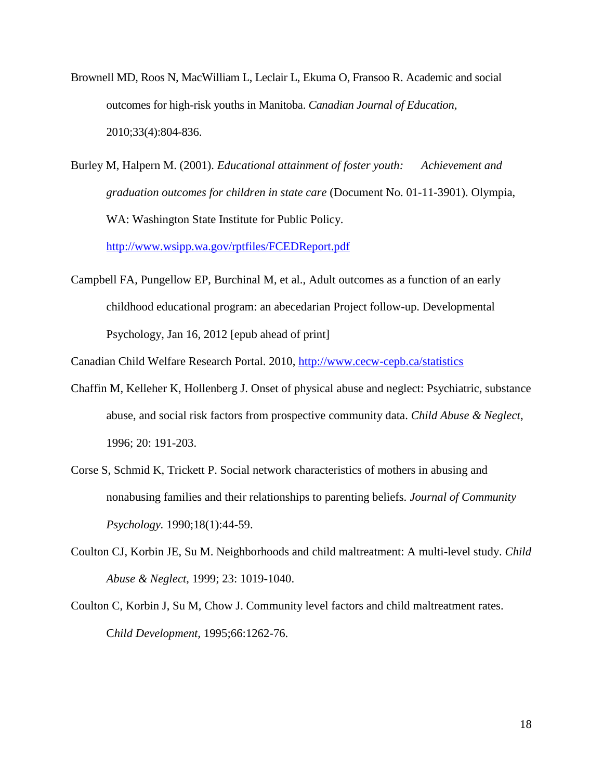- Brownell MD, Roos N, MacWilliam L, Leclair L, Ekuma O, Fransoo R. Academic and social outcomes for high-risk youths in Manitoba. *Canadian Journal of Education*, 2010;33(4):804-836.
- Burley M, Halpern M. (2001). *Educational attainment of foster youth: Achievement and graduation outcomes for children in state care* (Document No. 01-11-3901). Olympia, WA: Washington State Institute for Public Policy.

<http://www.wsipp.wa.gov/rptfiles/FCEDReport.pdf>

- Campbell FA, Pungellow EP, Burchinal M, et al., Adult outcomes as a function of an early childhood educational program: an abecedarian Project follow-up. Developmental Psychology, Jan 16, 2012 [epub ahead of print]
- Canadian Child Welfare Research Portal. 2010,<http://www.cecw-cepb.ca/statistics>
- Chaffin M, Kelleher K, Hollenberg J. Onset of physical abuse and neglect: Psychiatric, substance abuse, and social risk factors from prospective community data. *Child Abuse & Neglect*, 1996; 20: 191-203.
- Corse S, Schmid K, Trickett P. Social network characteristics of mothers in abusing and nonabusing families and their relationships to parenting beliefs. *Journal of Community Psychology.* 1990;18(1):44-59.
- Coulton CJ, Korbin JE, Su M. Neighborhoods and child maltreatment: A multi-level study. *Child Abuse & Neglect*, 1999; 23: 1019-1040.
- Coulton C, Korbin J, Su M, Chow J. Community level factors and child maltreatment rates. C*hild Development,* 1995;66:1262-76.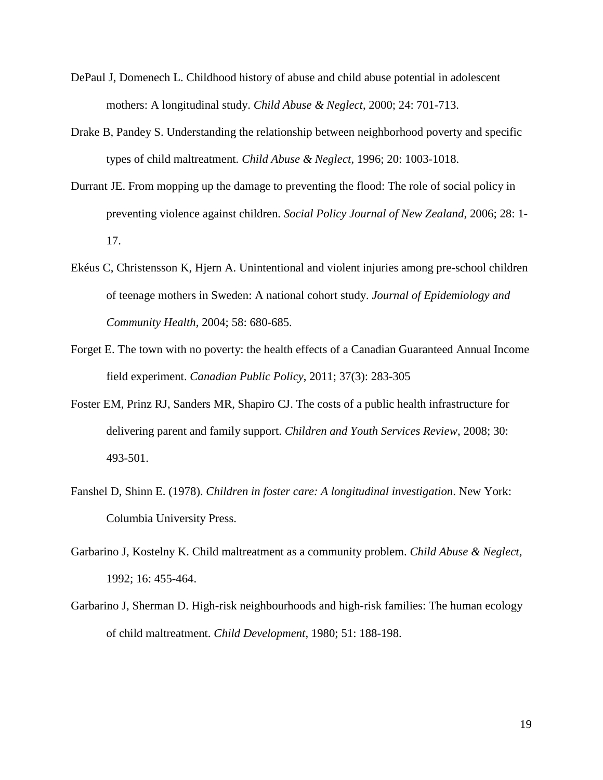- DePaul J, Domenech L. Childhood history of abuse and child abuse potential in adolescent mothers: A longitudinal study. *Child Abuse & Neglect*, 2000; 24: 701-713.
- Drake B, Pandey S. Understanding the relationship between neighborhood poverty and specific types of child maltreatment. *Child Abuse & Neglect*, 1996; 20: 1003-1018.
- Durrant JE. From mopping up the damage to preventing the flood: The role of social policy in preventing violence against children. *Social Policy Journal of New Zealand*, 2006; 28: 1- 17.
- Ekéus C, Christensson K, Hjern A. Unintentional and violent injuries among pre-school children of teenage mothers in Sweden: A national cohort study. *Journal of Epidemiology and Community Health,* 2004; 58: 680-685.
- Forget E. The town with no poverty: the health effects of a Canadian Guaranteed Annual Income field experiment. *Canadian Public Policy*, 2011; 37(3): 283-305
- Foster EM, Prinz RJ, Sanders MR, Shapiro CJ. The costs of a public health infrastructure for delivering parent and family support. *Children and Youth Services Review*, 2008; 30: 493-501.
- Fanshel D, Shinn E. (1978). *Children in foster care: A longitudinal investigation*. New York: Columbia University Press.
- Garbarino J, Kostelny K. Child maltreatment as a community problem. *Child Abuse & Neglect,* 1992; 16: 455-464.
- Garbarino J, Sherman D. High-risk neighbourhoods and high-risk families: The human ecology of child maltreatment. *Child Development*, 1980; 51: 188-198.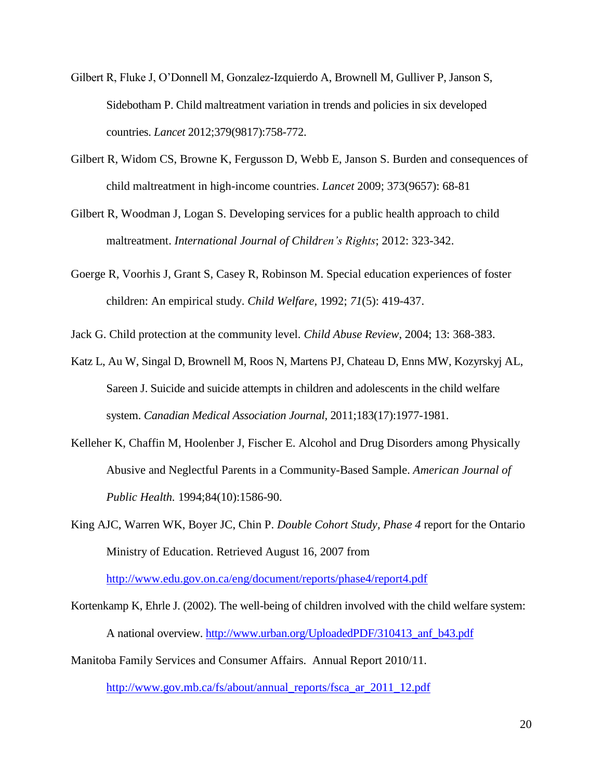- Gilbert R, Fluke J, O'Donnell M, Gonzalez-Izquierdo A, Brownell M, Gulliver P, Janson S, Sidebotham P. Child maltreatment variation in trends and policies in six developed countries. *Lancet* 2012;379(9817):758-772.
- Gilbert R, Widom CS, Browne K, Fergusson D, Webb E, Janson S. Burden and consequences of child maltreatment in high-income countries. *Lancet* 2009; 373(9657): 68-81
- Gilbert R, Woodman J, Logan S. Developing services for a public health approach to child maltreatment. *International Journal of Children's Rights*; 2012: 323-342.
- Goerge R, Voorhis J, Grant S, Casey R, Robinson M. Special education experiences of foster children: An empirical study. *Child Welfare,* 1992; *71*(5): 419-437.

Jack G. Child protection at the community level. *Child Abuse Review*, 2004; 13: 368-383.

- Katz L, Au W, Singal D, Brownell M, Roos N, Martens PJ, Chateau D, Enns MW, Kozyrskyj AL, Sareen J. Suicide and suicide attempts in children and adolescents in the child welfare system. *Canadian Medical Association Journal,* 2011;183(17):1977-1981.
- Kelleher K, Chaffin M, Hoolenber J, Fischer E. Alcohol and Drug Disorders among Physically Abusive and Neglectful Parents in a Community-Based Sample. *American Journal of Public Health.* 1994;84(10):1586-90.
- King AJC, Warren WK, Boyer JC, Chin P. *Double Cohort Study, Phase 4* report for the Ontario Ministry of Education. Retrieved August 16, 2007 from

<http://www.edu.gov.on.ca/eng/document/reports/phase4/report4.pdf>

Kortenkamp K, Ehrle J. (2002). The well-being of children involved with the child welfare system: A national overview. [http://www.urban.org/UploadedPDF/310413\\_anf\\_b43.pdf](http://www.urban.org/UploadedPDF/310413_anf_b43.pdf)

Manitoba Family Services and Consumer Affairs. Annual Report 2010/11.

[http://www.gov.mb.ca/fs/about/annual\\_reports/fsca\\_ar\\_2011\\_12.pdf](http://www.gov.mb.ca/fs/about/annual_reports/fsca_ar_2011_12.pdf)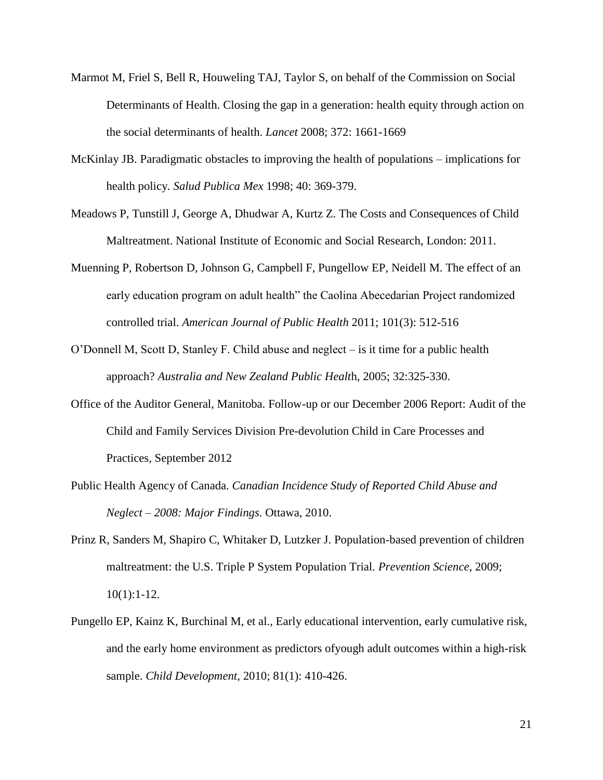- Marmot M, Friel S, Bell R, Houweling TAJ, Taylor S, on behalf of the Commission on Social Determinants of Health. Closing the gap in a generation: health equity through action on the social determinants of health. *Lancet* 2008; 372: 1661-1669
- McKinlay JB. Paradigmatic obstacles to improving the health of populations implications for health policy*. Salud Publica Mex* 1998; 40: 369-379.
- Meadows P, Tunstill J, George A, Dhudwar A, Kurtz Z. The Costs and Consequences of Child Maltreatment. National Institute of Economic and Social Research, London: 2011.
- Muenning P, Robertson D, Johnson G, Campbell F, Pungellow EP, Neidell M. The effect of an early education program on adult health" the Caolina Abecedarian Project randomized controlled trial. *American Journal of Public Health* 2011; 101(3): 512-516
- O'Donnell M, Scott D, Stanley F. Child abuse and neglect is it time for a public health approach? *Australia and New Zealand Public Healt*h, 2005; 32:325-330.
- Office of the Auditor General, Manitoba. Follow-up or our December 2006 Report: Audit of the Child and Family Services Division Pre-devolution Child in Care Processes and Practices, September 2012
- Public Health Agency of Canada. *Canadian Incidence Study of Reported Child Abuse and Neglect – 2008: Major Findings*. Ottawa, 2010.
- Prinz R, Sanders M, Shapiro C, Whitaker D, Lutzker J. Population-based prevention of children maltreatment: the U.S. Triple P System Population Trial. *Prevention Science*, 2009;  $10(1):1-12.$
- Pungello EP, Kainz K, Burchinal M, et al., Early educational intervention, early cumulative risk, and the early home environment as predictors ofyough adult outcomes within a high-risk sample. *Child Development*, 2010; 81(1): 410-426.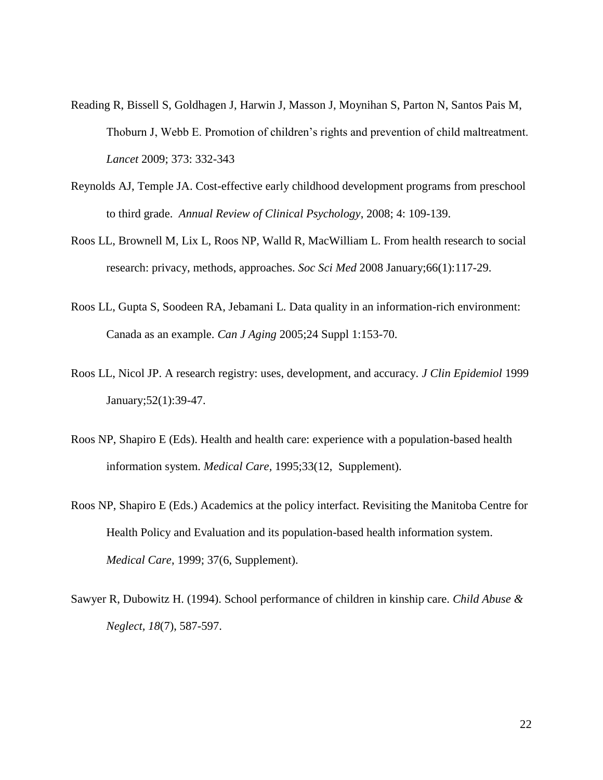- Reading R, Bissell S, Goldhagen J, Harwin J, Masson J, Moynihan S, Parton N, Santos Pais M, Thoburn J, Webb E. Promotion of children's rights and prevention of child maltreatment. *Lancet* 2009; 373: 332-343
- Reynolds AJ, Temple JA. Cost-effective early childhood development programs from preschool to third grade. *Annual Review of Clinical Psychology*, 2008; 4: 109-139.
- Roos LL, Brownell M, Lix L, Roos NP, Walld R, MacWilliam L. From health research to social research: privacy, methods, approaches. *Soc Sci Med* 2008 January;66(1):117-29.
- Roos LL, Gupta S, Soodeen RA, Jebamani L. Data quality in an information-rich environment: Canada as an example. *Can J Aging* 2005;24 Suppl 1:153-70.
- Roos LL, Nicol JP. A research registry: uses, development, and accuracy. *J Clin Epidemiol* 1999 January;52(1):39-47.
- Roos NP, Shapiro E (Eds). Health and health care: experience with a population-based health information system. *Medical Care,* 1995;33(12, Supplement).
- Roos NP, Shapiro E (Eds.) Academics at the policy interfact. Revisiting the Manitoba Centre for Health Policy and Evaluation and its population-based health information system. *Medical Care*, 1999; 37(6, Supplement).
- Sawyer R, Dubowitz H. (1994). School performance of children in kinship care. *Child Abuse & Neglect, 18*(7), 587-597.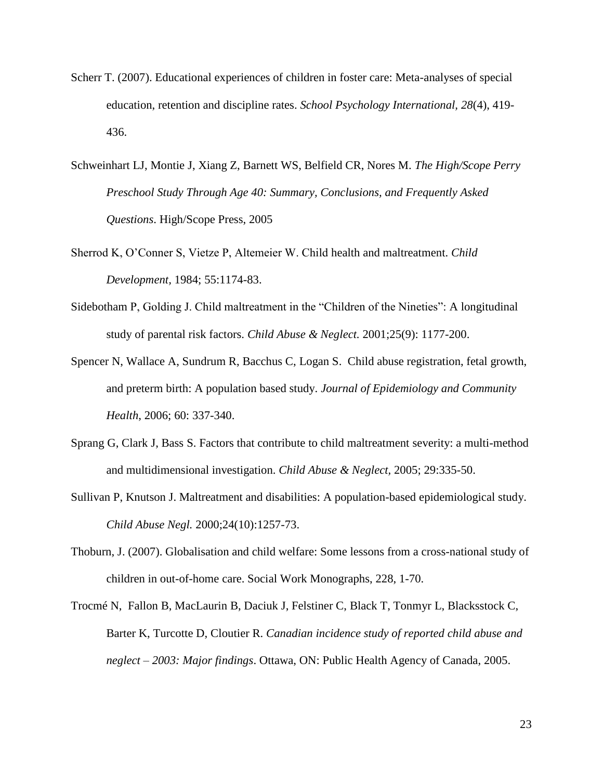- Scherr T. (2007). Educational experiences of children in foster care: Meta-analyses of special education, retention and discipline rates. *School Psychology International, 28*(4), 419- 436.
- Schweinhart LJ, Montie J, Xiang Z, Barnett WS, Belfield CR, Nores M. *The High/Scope Perry Preschool Study Through Age 40: Summary, Conclusions, and Frequently Asked Questions*. High/Scope Press, 2005
- Sherrod K, O'Conner S, Vietze P, Altemeier W. Child health and maltreatment. *Child Development,* 1984; 55:1174-83.
- Sidebotham P, Golding J. Child maltreatment in the "Children of the Nineties": A longitudinal study of parental risk factors. *Child Abuse & Neglect.* 2001;25(9): 1177-200.
- Spencer N, Wallace A, Sundrum R, Bacchus C, Logan S. Child abuse registration, fetal growth, and preterm birth: A population based study. *Journal of Epidemiology and Community Health*, 2006; 60: 337-340.
- Sprang G, Clark J, Bass S. Factors that contribute to child maltreatment severity: a multi-method and multidimensional investigation. *Child Abuse & Neglect,* 2005; 29:335-50.
- Sullivan P, Knutson J. Maltreatment and disabilities: A population-based epidemiological study. *Child Abuse Negl.* 2000;24(10):1257-73.
- Thoburn, J. (2007). Globalisation and child welfare: Some lessons from a cross-national study of children in out-of-home care. Social Work Monographs, 228, 1-70.
- Trocmé N, Fallon B, MacLaurin B, Daciuk J, Felstiner C, Black T, Tonmyr L, Blacksstock C, Barter K, Turcotte D, Cloutier R. *Canadian incidence study of reported child abuse and neglect – 2003: Major findings*. Ottawa, ON: Public Health Agency of Canada, 2005.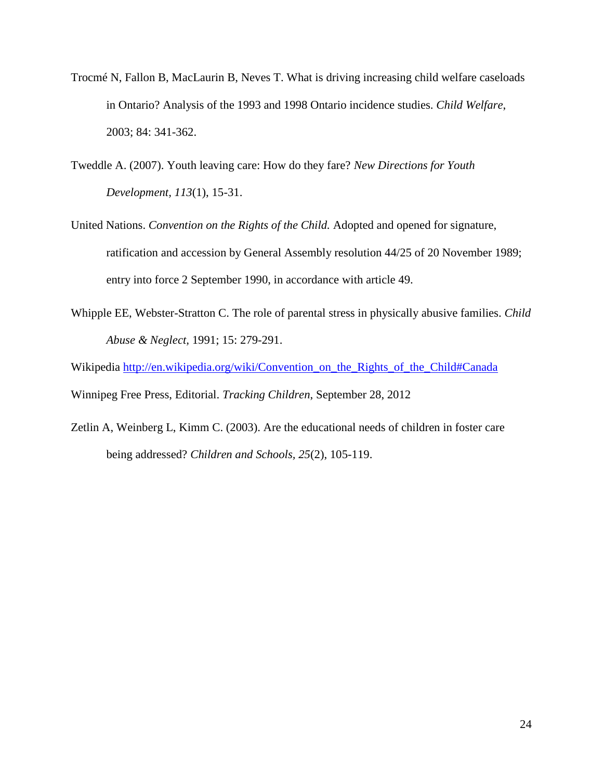- Trocmé N, Fallon B, MacLaurin B, Neves T. What is driving increasing child welfare caseloads in Ontario? Analysis of the 1993 and 1998 Ontario incidence studies. *Child Welfare*, 2003; 84: 341-362.
- Tweddle A. (2007). Youth leaving care: How do they fare? *New Directions for Youth Development, 113*(1), 15-31.
- United Nations. *Convention on the Rights of the Child.* Adopted and opened for signature, ratification and accession by General Assembly resolution 44/25 of 20 November 1989; entry into force 2 September 1990, in accordance with article 49.
- Whipple EE, Webster-Stratton C. The role of parental stress in physically abusive families. *Child Abuse & Neglect,* 1991; 15: 279-291.
- Wikipedia [http://en.wikipedia.org/wiki/Convention\\_on\\_the\\_Rights\\_of\\_the\\_Child#Canada](http://en.wikipedia.org/wiki/Convention_on_the_Rights_of_the_Child#Canada)

Winnipeg Free Press, Editorial. *Tracking Children*, September 28, 2012

Zetlin A, Weinberg L, Kimm C. (2003). Are the educational needs of children in foster care being addressed? *Children and Schools, 25*(2), 105-119.